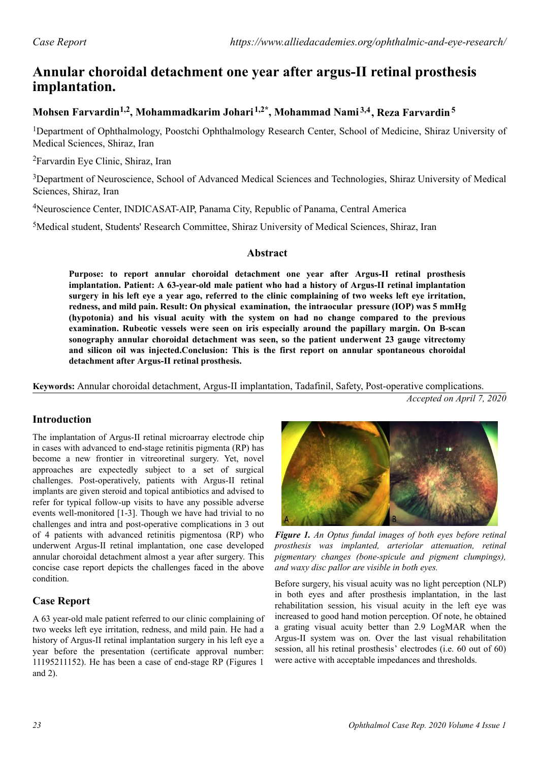# **Annular choroidal detachment one year after argus-II retinal prosthesis implantation.**

# **Mohsen Farvardin1,2, Mohammadkarim Johari 1,2\*, Mohammad Nami 3,4, Reza Farvardin<sup>5</sup>**

<sup>1</sup>Department of Ophthalmology, Poostchi Ophthalmology Research Center, School of Medicine, Shiraz University of Medical Sciences, Shiraz, Iran

<sup>2</sup>Farvardin Eye Clinic, Shiraz, Iran

<sup>3</sup>Department of Neuroscience, School of Advanced Medical Sciences and Technologies, Shiraz University of Medical Sciences, Shiraz, Iran

<sup>4</sup>Neuroscience Center, INDICASAT-AIP, Panama City, Republic of Panama, Central America

<sup>5</sup>Medical student, Students' Research Committee, Shiraz University of Medical Sciences, Shiraz, Iran

### **Abstract**

**Purpose: to report annular choroidal detachment one year after Argus-II retinal prosthesis implantation. Patient: A 63-year-old male patient who had a history of Argus-II retinal implantation surgery in his left eye a year ago, referred to the clinic complaining of two weeks left eye irritation, redness, and mild pain. Result: On physical examination, the intraocular pressure (IOP) was 5 mmHg (hypotonia) and his visual acuity with the system on had no change compared to the previous examination. Rubeotic vessels were seen on iris especially around the papillary margin. On B-scan sonography annular choroidal detachment was seen, so the patient underwent 23 gauge vitrectomy and silicon oil was injected.Conclusion: This is the first report on annular spontaneous choroidal detachment after Argus-II retinal prosthesis.**

**Keywords:** Annular choroidal detachment, Argus-II implantation, Tadafinil, Safety, Post-operative complications.

*Accepted on April 7, 2020*

# **Introduction**

The implantation of Argus-II retinal microarray electrode chip in cases with advanced to end-stage retinitis pigmenta (RP) has become a new frontier in vitreoretinal surgery. Yet, novel approaches are expectedly subject to a set of surgical challenges. Post-operatively, patients with Argus-II retinal implants are given steroid and topical antibiotics and advised to refer for typical follow-up visits to have any possible adverse events well-monitored [1-3]. Though we have had trivial to no challenges and intra and post-operative complications in 3 out of 4 patients with advanced retinitis pigmentosa (RP) who underwent Argus-II retinal implantation, one case developed annular choroidal detachment almost a year after surgery. This concise case report depicts the challenges faced in the above condition.

# **Case Report**

A 63 year-old male patient referred to our clinic complaining of two weeks left eye irritation, redness, and mild pain. He had a history of Argus-II retinal implantation surgery in his left eye a year before the presentation (certificate approval number: 11195211152). He has been a case of end-stage RP (Figures 1 and 2).



*Figure 1. An Optus fundal images of both eyes before retinal prosthesis was implanted, arteriolar attenuation, retinal pigmentary changes (bone-spicule and pigment clumpings), and waxy disc pallor are visible in both eyes.*

Before surgery, his visual acuity was no light perception (NLP) in both eyes and after prosthesis implantation, in the last rehabilitation session, his visual acuity in the left eye was increased to good hand motion perception. Of note, he obtained a grating visual acuity better than 2.9 LogMAR when the Argus-II system was on. Over the last visual rehabilitation session, all his retinal prosthesis' electrodes (i.e. 60 out of 60) were active with acceptable impedances and thresholds.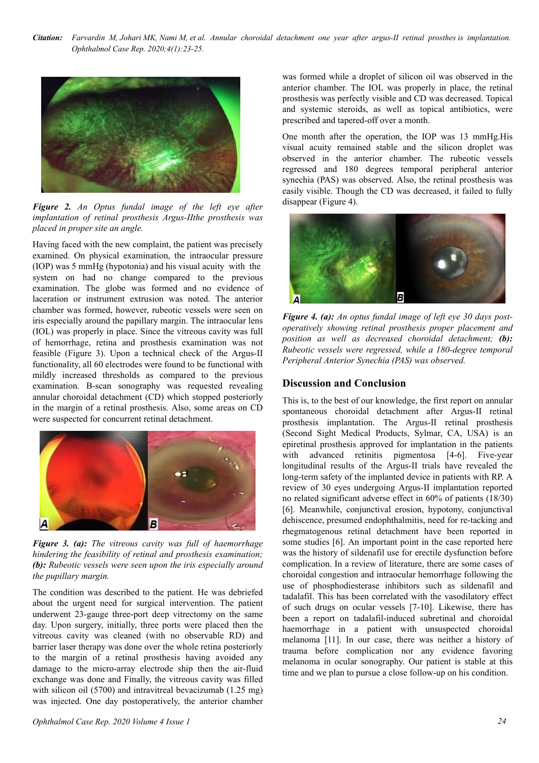*Citation: Farvardin M, Johari MK, Nami M, et al. Annular choroidal detachment one year after argus-II retinal prosthes is implantation. Ophthalmol Case Rep. 2020;4(1):23-25.*



*Figure 2. An Optus fundal image of the left eye after implantation of retinal prosthesis Argus-IIthe prosthesis was placed in proper site an angle.*

Having faced with the new complaint, the patient was precisely examined. On physical examination, the intraocular pressure (IOP) was 5 mmHg (hypotonia) and his visual acuity with the system on had no change compared to the previous examination. The globe was formed and no evidence of laceration or instrument extrusion was noted. The anterior chamber was formed, however, rubeotic vessels were seen on iris especially around the papillary margin. The intraocular lens (IOL) was properly in place. Since the vitreous cavity was full of hemorrhage, retina and prosthesis examination was not feasible (Figure 3). Upon a technical check of the Argus-II functionality, all 60 electrodes were found to be functional with mildly increased thresholds as compared to the previous examination. B-scan sonography was requested revealing annular choroidal detachment (CD) which stopped posteriorly in the margin of a retinal prosthesis. Also, some areas on CD were suspected for concurrent retinal detachment.



*Figure 3. (a): The vitreous cavity was full of haemorrhage hindering the feasibility of retinal and prosthesis examination; (b): Rubeotic vessels were seen upon the iris especially around the pupillary margin.*

The condition was described to the patient. He was debriefed about the urgent need for surgical intervention. The patient underwent 23-gauge three-port deep vitrectomy on the same day. Upon surgery, initially, three ports were placed then the vitreous cavity was cleaned (with no observable RD) and barrier laser therapy was done over the whole retina posteriorly to the margin of a retinal prosthesis having avoided any damage to the micro-array electrode ship then the air-fluid exchange was done and Finally, the vitreous cavity was filled with silicon oil (5700) and intravitreal bevacizumab (1.25 mg) was injected. One day postoperatively, the anterior chamber

was formed while a droplet of silicon oil was observed in the anterior chamber. The IOL was properly in place, the retinal prosthesis was perfectly visible and CD was decreased. Topical and systemic steroids, as well as topical antibiotics, were prescribed and tapered-off over a month.

One month after the operation, the IOP was 13 mmHg.His visual acuity remained stable and the silicon droplet was observed in the anterior chamber. The rubeotic vessels regressed and 180 degrees temporal peripheral anterior synechia (PAS) was observed. Also, the retinal prosthesis was easily visible. Though the CD was decreased, it failed to fully disappear (Figure 4).



*Figure 4. (a): An optus fundal image of left eye 30 days postoperatively showing retinal prosthesis proper placement and position as well as decreased choroidal detachment; (b): Rubeotic vessels were regressed, while a 180-degree temporal Peripheral Anterior Synechia (PAS) was observed.*

#### **Discussion and Conclusion**

This is, to the best of our knowledge, the first report on annular spontaneous choroidal detachment after Argus-II retinal prosthesis implantation. The Argus-II retinal prosthesis (Second Sight Medical Products, Sylmar, CA, USA) is an epiretinal prosthesis approved for implantation in the patients with advanced retinitis pigmentosa [4-6]. Five-year longitudinal results of the Argus-II trials have revealed the long-term safety of the implanted device in patients with RP. A review of 30 eyes undergoing Argus-II implantation reported no related significant adverse effect in 60% of patients (18/30) [6]. Meanwhile, conjunctival erosion, hypotony, conjunctival dehiscence, presumed endophthalmitis, need for re-tacking and rhegmatogenous retinal detachment have been reported in some studies [6]. An important point in the case reported here was the history of sildenafil use for erectile dysfunction before complication. In a review of literature, there are some cases of choroidal congestion and intraocular hemorrhage following the use of phosphodiesterase inhibitors such as sildenafil and tadalafil. This has been correlated with the vasodilatory effect of such drugs on ocular vessels [7-10]. Likewise, there has been a report on tadalafil-induced subretinal and choroidal haemorrhage in a patient with unsuspected choroidal melanoma [11]. In our case, there was neither a history of trauma before complication nor any evidence favoring melanoma in ocular sonography. Our patient is stable at this time and we plan to pursue a close follow-up on his condition.